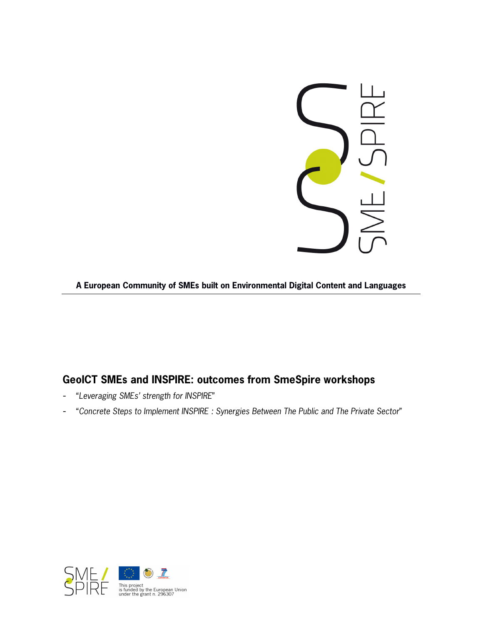

**A European Community of SMEs built on Environmental Digital Content and Languages**

# **GeoICT SMEs and INSPIRE: outcomes from SmeSpire workshops**

- "Leveraging SMEs' strength for INSPIRE"
- "Concrete Steps to Implement INSPIRE : Synergies Between The Public and The Private Sector"

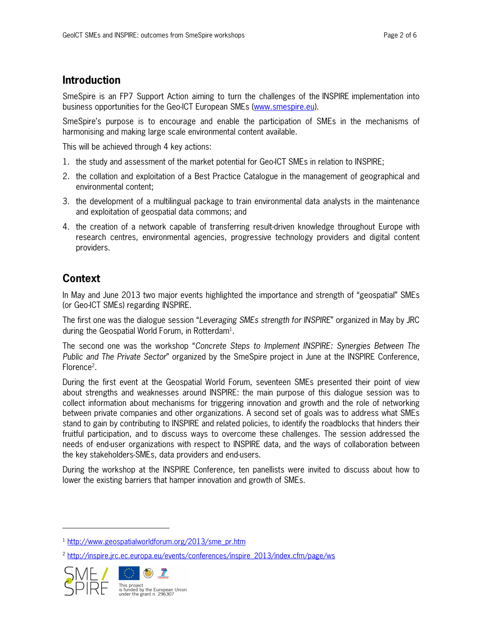# **Introduction**

SmeSpire is an FP7 Support Action aiming to turn the challenges of the INSPIRE implementation into business opportunities for the Geo-ICT European SMEs (www.smespire.eu).

SmeSpire's purpose is to encourage and enable the participation of SMEs in the mechanisms of harmonising and making large scale environmental content available.

This will be achieved through 4 key actions:

- 1. the study and assessment of the market potential for Geo-ICT SMEs in relation to INSPIRE;
- 2. the collation and exploitation of a Best Practice Catalogue in the management of geographical and environmental content;
- 3. the development of a multilingual package to train environmental data analysts in the maintenance and exploitation of geospatial data commons; and
- 4. the creation of a network capable of transferring result-driven knowledge throughout Europe with research centres, environmental agencies, progressive technology providers and digital content providers.

# **Context**

-

In May and June 2013 two major events highlighted the importance and strength of "geospatial" SMEs (or Geo-ICT SMEs) regarding INSPIRE.

The first one was the dialogue session "Leveraging SMEs strength for INSPIRE" organized in May by JRC during the Geospatial World Forum, in Rotterdam<sup>1</sup>.

The second one was the workshop "Concrete Steps to Implement INSPIRE: Synergies Between The Public and The Private Sector" organized by the SmeSpire project in June at the INSPIRE Conference, Florence<sup>2</sup>.

During the first event at the Geospatial World Forum, seventeen SMEs presented their point of view about strengths and weaknesses around INSPIRE: the main purpose of this dialogue session was to collect information about mechanisms for triggering innovation and growth and the role of networking between private companies and other organizations. A second set of goals was to address what SMEs stand to gain by contributing to INSPIRE and related policies, to identify the roadblocks that hinders their fruitful participation, and to discuss ways to overcome these challenges. The session addressed the needs of end-user organizations with respect to INSPIRE data, and the ways of collaboration between the key stakeholders-SMEs, data providers and end-users.

During the workshop at the INSPIRE Conference, ten panellists were invited to discuss about how to lower the existing barriers that hamper innovation and growth of SMEs.

<sup>&</sup>lt;sup>2</sup> http://inspire.jrc.ec.europa.eu/events/conferences/inspire\_2013/index.cfm/page/ws



<sup>&</sup>lt;sup>1</sup> http://www.geospatialworldforum.org/2013/sme\_pr.htm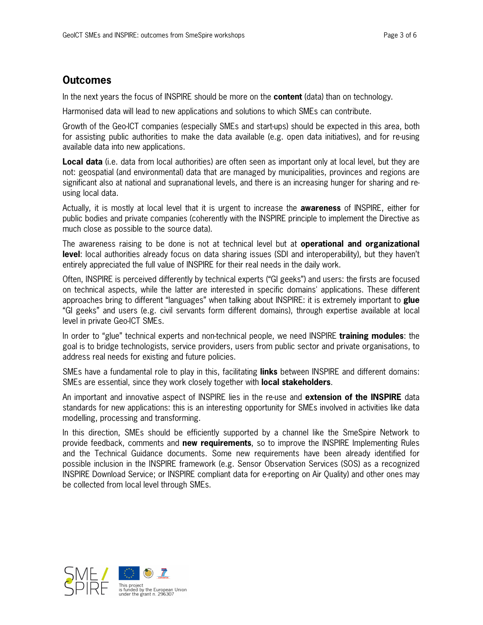## **Outcomes**

In the next years the focus of INSPIRE should be more on the **content** (data) than on technology.

Harmonised data will lead to new applications and solutions to which SMEs can contribute.

Growth of the Geo-ICT companies (especially SMEs and start-ups) should be expected in this area, both for assisting public authorities to make the data available (e.g. open data initiatives), and for re-using available data into new applications.

**Local data** (i.e. data from local authorities) are often seen as important only at local level, but they are not: geospatial (and environmental) data that are managed by municipalities, provinces and regions are significant also at national and supranational levels, and there is an increasing hunger for sharing and reusing local data.

Actually, it is mostly at local level that it is urgent to increase the **awareness** of INSPIRE, either for public bodies and private companies (coherently with the INSPIRE principle to implement the Directive as much close as possible to the source data).

The awareness raising to be done is not at technical level but at **operational and organizational level**: local authorities already focus on data sharing issues (SDI and interoperability), but they haven't entirely appreciated the full value of INSPIRE for their real needs in the daily work.

Often, INSPIRE is perceived differently by technical experts ("GI geeks") and users: the firsts are focused on technical aspects, while the latter are interested in specific domains' applications. These different approaches bring to different "languages" when talking about INSPIRE: it is extremely important to **glue** "GI geeks" and users (e.g. civil servants form different domains), through expertise available at local level in private Geo-ICT SMEs.

In order to "glue" technical experts and non-technical people, we need INSPIRE **training modules**: the goal is to bridge technologists, service providers, users from public sector and private organisations, to address real needs for existing and future policies.

SMEs have a fundamental role to play in this, facilitating **links** between INSPIRE and different domains: SMEs are essential, since they work closely together with **local stakeholders**.

An important and innovative aspect of INSPIRE lies in the re-use and **extension of the INSPIRE** data standards for new applications: this is an interesting opportunity for SMEs involved in activities like data modelling, processing and transforming.

In this direction, SMEs should be efficiently supported by a channel like the SmeSpire Network to provide feedback, comments and **new requirements**, so to improve the INSPIRE Implementing Rules and the Technical Guidance documents. Some new requirements have been already identified for possible inclusion in the INSPIRE framework (e.g. Sensor Observation Services (SOS) as a recognized INSPIRE Download Service; or INSPIRE compliant data for e-reporting on Air Quality) and other ones may be collected from local level through SMEs.

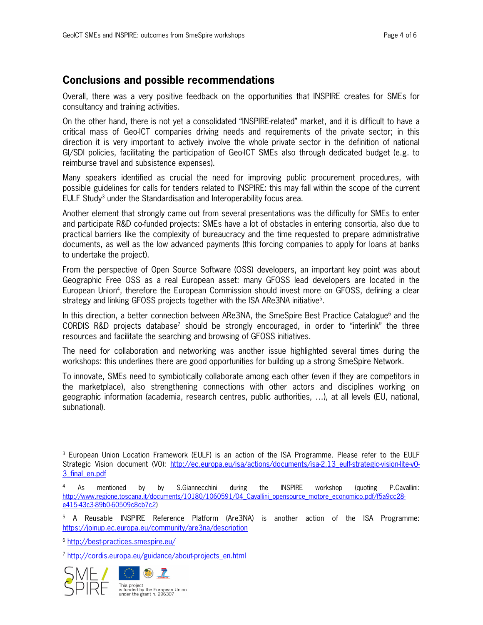#### **Conclusions and possible recommendations**

Overall, there was a very positive feedback on the opportunities that INSPIRE creates for SMEs for consultancy and training activities.

On the other hand, there is not yet a consolidated "INSPIRE-related" market, and it is difficult to have a critical mass of Geo-ICT companies driving needs and requirements of the private sector; in this direction it is very important to actively involve the whole private sector in the definition of national GI/SDI policies, facilitating the participation of Geo-ICT SMEs also through dedicated budget (e.g. to reimburse travel and subsistence expenses).

Many speakers identified as crucial the need for improving public procurement procedures, with possible guidelines for calls for tenders related to INSPIRE: this may fall within the scope of the current EULF Study<sup>3</sup> under the Standardisation and Interoperability focus area.

Another element that strongly came out from several presentations was the difficulty for SMEs to enter and participate R&D co-funded projects: SMEs have a lot of obstacles in entering consortia, also due to practical barriers like the complexity of bureaucracy and the time requested to prepare administrative documents, as well as the low advanced payments (this forcing companies to apply for loans at banks to undertake the project).

From the perspective of Open Source Software (OSS) developers, an important key point was about Geographic Free OSS as a real European asset: many GFOSS lead developers are located in the European Union<sup>4</sup> , therefore the European Commission should invest more on GFOSS, defining a clear strategy and linking GFOSS projects together with the ISA ARe3NA initiative<sup>5</sup>.

In this direction, a better connection between ARe3NA, the SmeSpire Best Practice Catalogue<sup>6</sup> and the CORDIS R&D projects database<sup>7</sup> should be strongly encouraged, in order to "interlink" the three resources and facilitate the searching and browsing of GFOSS initiatives.

The need for collaboration and networking was another issue highlighted several times during the workshops: this underlines there are good opportunities for building up a strong SmeSpire Network.

To innovate, SMEs need to symbiotically collaborate among each other (even if they are competitors in the marketplace), also strengthening connections with other actors and disciplines working on geographic information (academia, research centres, public authorities, …), at all levels (EU, national, subnational).

<sup>&</sup>lt;sup>7</sup> http://cordis.europa.eu/guidance/about-projects\_en.html



1



<sup>3</sup> European Union Location Framework (EULF) is an action of the ISA Programme. Please refer to the EULF Strategic Vision document (VO): http://ec.europa.eu/isa/actions/documents/isa-2.13 eulf-strategic-vision-lite-v0-3\_final\_en.pdf

<sup>&</sup>lt;sup>4</sup> As mentioned by by S.Giannecchini during the INSPIRE workshop (quoting P.Cavallini: http://www.regione.toscana.it/documents/10180/1060591/04\_Cavallini\_opensource\_motore\_economico.pdf/f5a9cc28e415-43c3-89b0-60509c8cb7c2)

<sup>&</sup>lt;sup>5</sup> A Reusable INSPIRE Reference Platform (Are3NA) is another action of the ISA Programme: https://joinup.ec.europa.eu/community/are3na/description

<sup>6</sup> http://best-practices.smespire.eu/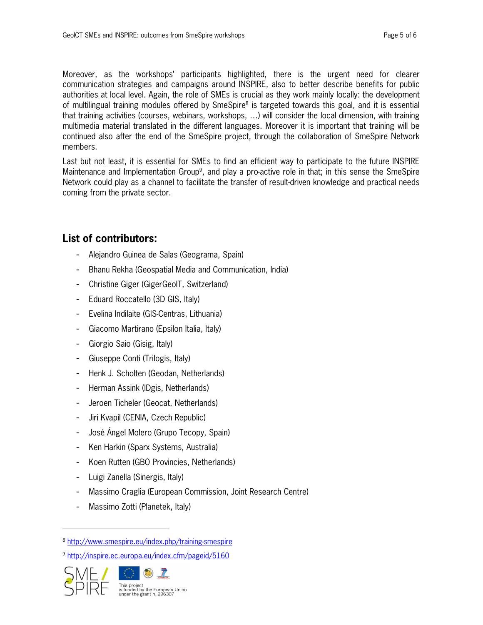Moreover, as the workshops' participants highlighted, there is the urgent need for clearer communication strategies and campaigns around INSPIRE, also to better describe benefits for public authorities at local level. Again, the role of SMEs is crucial as they work mainly locally: the development of multilingual training modules offered by SmeSpire<sup>8</sup> is targeted towards this goal, and it is essential that training activities (courses, webinars, workshops, …) will consider the local dimension, with training multimedia material translated in the different languages. Moreover it is important that training will be continued also after the end of the SmeSpire project, through the collaboration of SmeSpire Network members.

Last but not least, it is essential for SMEs to find an efficient way to participate to the future INSPIRE Maintenance and Implementation Group<sup>9</sup>, and play a pro-active role in that; in this sense the SmeSpire Network could play as a channel to facilitate the transfer of result-driven knowledge and practical needs coming from the private sector.

### **List of contributors:**

- Alejandro Guinea de Salas (Geograma, Spain)
- Bhanu Rekha (Geospatial Media and Communication, India)
- Christine Giger (GigerGeoIT, Switzerland)
- Eduard Roccatello (3D GIS, Italy)
- Evelina Indilaite (GIS-Centras, Lithuania)
- Giacomo Martirano (Epsilon Italia, Italy)
- Giorgio Saio (Gisig, Italy)
- Giuseppe Conti (Trilogis, Italy)
- Henk J. Scholten (Geodan, Netherlands)
- Herman Assink (IDgis, Netherlands)
- Jeroen Ticheler (Geocat, Netherlands)
- Jiri Kvapil (CENIA, Czech Republic)
- José Ángel Molero (Grupo Tecopy, Spain)
- Ken Harkin (Sparx Systems, Australia)
- Koen Rutten (GBO Provincies, Netherlands)
- Luigi Zanella (Sinergis, Italy)
- Massimo Craglia (European Commission, Joint Research Centre)
- Massimo Zotti (Planetek, Italy)

<sup>9</sup> http://inspire.ec.europa.eu/index.cfm/pageid/5160



-

<sup>8</sup> http://www.smespire.eu/index.php/training-smespire